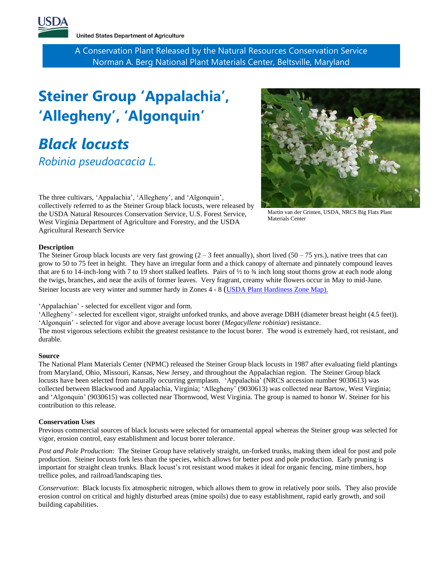

**United States Department of Agriculture** 

A Conservation Plant Released by the Natural Resources Conservation Service Norman A. Berg National Plant Materials Center, Beltsville, Maryland

# **Steiner Group 'Appalachia' , 'Allegheny' , 'Algonquin'**

*Black locusts*

*Robinia pseudoacacia L.*

The three cultivars, 'Appalachia', 'Allegheny', and 'Algonquin', collectively referred to as the Steiner Group black locusts, were released by the USDA Natural Resources Conservation Service, U.S. Forest Service, West Virginia Department of Agriculture and Forestry, and the USDA Agricultural Research Service



Martin van der Grinten, USDA, NRCS Big Flats Plant Materials Center

# **Description**

The Steiner Group black locusts are very fast growing  $(2 - 3$  feet annually), short lived  $(50 - 75 \text{ yrs.})$ , native trees that can grow to 50 to 75 feet in height. They have an irregular form and a thick canopy of alternate and pinnately compound leaves that are 6 to 14-inch-long with 7 to 19 short stalked leaflets. Pairs of  $\frac{1}{2}$  to  $\frac{3}{4}$  inch long stout thorns grow at each node along the twigs, branches, and near the axils of former leaves. Very fragrant, creamy white flowers occur in May to mid-June. Steiner locusts are very winter and summer hardy in Zones 4 - 8 ([USDA Plant Hardiness Zone Map\).](https://planthardiness.ars.usda.gov/PHZMWeb/) 

'Appalachian' - selected for excellent vigor and form.

'Allegheny' - selected for excellent vigor, straight unforked trunks, and above average DBH (diameter breast height (4.5 feet)). 'Algonquin' - selected for vigor and above average locust borer (*Megacyllene robiniae*) resistance.

The most vigorous selections exhibit the greatest resistance to the locust borer. The wood is extremely hard, rot resistant, and durable.

# **Source**

The National Plant Materials Center (NPMC) released the Steiner Group black locusts in 1987 after evaluating field plantings from Maryland, Ohio, Missouri, Kansas, New Jersey, and throughout the Appalachian region. The Steiner Group black locusts have been selected from naturally occurring germplasm. 'Appalachia' (NRCS accession number 9030613) was collected between Blackwood and Appalachia, Virginia; 'Allegheny' (9030613) was collected near Bartow, West Virginia; and 'Algonquin' (9030615) was collected near Thornwood, West Virginia. The group is named to honor W. Steiner for his contribution to this release.

#### **Conservation Uses**

Previous commercial sources of black locusts were selected for ornamental appeal whereas the Steiner group was selected for vigor, erosion control, easy establishment and locust borer tolerance.

*Post and Pole Production*: The Steiner Group have relatively straight, un-forked trunks, making them ideal for post and pole production. Steiner locusts fork less than the species, which allows for better post and pole production. Early pruning is important for straight clean trunks. Black locust's rot resistant wood makes it ideal for organic fencing, mine timbers, hop trellice poles, and railroad/landscaping ties.

*Conservation*: Black locusts fix atmospheric nitrogen, which allows them to grow in relatively poor soils. They also provide erosion control on critical and highly disturbed areas (mine spoils) due to easy establishment, rapid early growth, and soil building capabilities.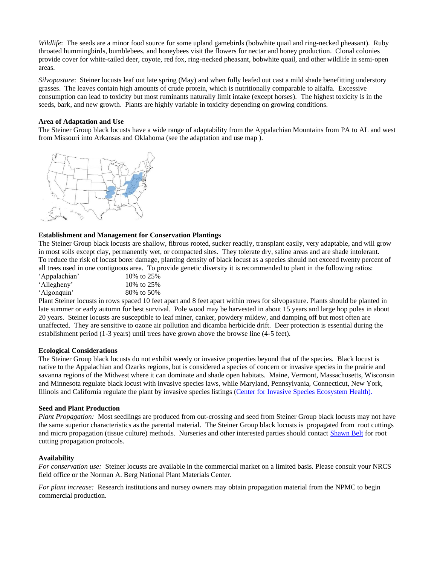*Wildlife*: The seeds are a minor food source for some upland gamebirds (bobwhite quail and ring-necked pheasant). Ruby throated hummingbirds, bumblebees, and honeybees visit the flowers for nectar and honey production. Clonal colonies provide cover for white-tailed deer, coyote, red fox, ring-necked pheasant, bobwhite quail, and other wildlife in semi-open areas.

*Silvopasture*: Steiner locusts leaf out late spring (May) and when fully leafed out cast a mild shade benefitting understory grasses. The leaves contain high amounts of crude protein, which is nutritionally comparable to alfalfa. Excessive consumption can lead to toxicity but most ruminants naturally limit intake (except horses). The highest toxicity is in the seeds, bark, and new growth. Plants are highly variable in toxicity depending on growing conditions.

## **Area of Adaptation and Use**

The Steiner Group black locusts have a wide range of adaptability from the Appalachian Mountains from PA to AL and west from Missouri into Arkansas and Oklahoma (see the adaptation and use map ).



# **Establishment and Management for Conservation Plantings**

The Steiner Group black locusts are shallow, fibrous rooted, sucker readily, transplant easily, very adaptable, and will grow in most soils except clay, permanently wet, or compacted sites. They tolerate dry, saline areas and are shade intolerant. To reduce the risk of locust borer damage, planting density of black locust as a species should not exceed twenty percent of all trees used in one contiguous area. To provide genetic diversity it is recommended to plant in the following ratios:

| 10\% to 25\% |
|--------------|
| 10\% to 25\% |
| 80% to 50%   |
|              |

Plant Steiner locusts in rows spaced 10 feet apart and 8 feet apart within rows for silvopasture. Plants should be planted in late summer or early autumn for best survival. Pole wood may be harvested in about 15 years and large hop poles in about 20 years. Steiner locusts are susceptible to leaf miner, canker, powdery mildew, and damping off but most often are unaffected. They are sensitive to ozone air pollution and dicamba herbicide drift. Deer protection is essential during the establishment period (1-3 years) until trees have grown above the browse line (4-5 feet).

#### **Ecological Considerations**

The Steiner Group black locusts do not exhibit weedy or invasive properties beyond that of the species. Black locust is native to the Appalachian and Ozarks regions, but is considered a species of concern or invasive species in the prairie and savanna regions of the Midwest where it can dominate and shade open habitats. Maine, Vermont, Massachusetts, Wisconsin and Minnesota regulate black locust with invasive species laws, while Maryland, Pennsylvania, Connecticut, New York, Illinois and California regulate the plant by invasive species listings [\(Center for Invasive Species Ecosystem Health\).](https://www.eddmaps.org/species/subject.cfm?sub=3350) 

#### **Seed and Plant Production**

*Plant Propagation:* Most seedlings are produced from out-crossing and seed from Steiner Group black locusts may not have the same superior characteristics as the parental material. The Steiner Group black locusts is propagated from root cuttings and micro propagation (tissue culture) methods. Nurseries and other interested parties should contac[t Shawn Belt](mailto:Shawn.Belt@usda.gov) for root cutting propagation protocols.

#### **Availability**

*For conservation use:* Steiner locusts are available in the commercial market on a limited basis. Please consult your NRCS field office or the Norman A. Berg National Plant Materials Center.

*For plant increase:* Research institutions and nursey owners may obtain propagation material from the NPMC to begin commercial production.